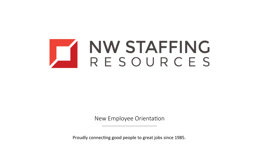

New Employee Orientation

Proudly connecting good people to great jobs since 1985.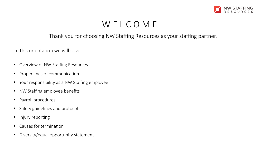

# W E L C O M E

#### Thank you for choosing NW Staffing Resources as your staffing partner.

In this orientation we will cover:

- Overview of NW Staffing Resources
- **•** Proper lines of communication
- Your responsibility as a NW Staffing employee
- NW Staffing employee benefits
- § Payroll procedures
- Safety guidelines and protocol
- Injury reporting
- Causes for termination
- § Diversity/equal opportunity statement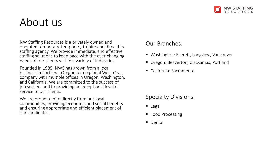

# About us

NW Staffing Resources is a privately owned and operated temporary, temporary-to-hire and direct hire staffing agency. We provide immediate, and effective staffing solutions to keep pace with the ever-changing needs of our clients within a variety of industries.

Founded in 1985, NWS has grown from a local business in Portland, Oregon to a regional West Coast company with multiple offices in Oregon, Washington, and California. We are committed to the success of job seekers and to providing an exceptional level of service to our clients.

We are proud to hire directly from our local communities, providing economic and social benefits and ensuring appropriate and efficient placement of our candidates.

#### Our Branches:

- Washington: Everett, Longview, Vancouver
- Oregon: Beaverton, Clackamas, Portland
- California: Sacramento

#### Specialty Divisions:

- Legal
- Food Processing
- Dental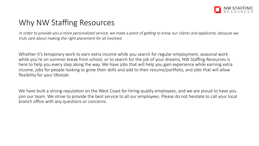

### Why NW Staffing Resources

In order to provide you a more personalized service, we make a point of getting to know our clients and applicants, because we truly care about making the right placement for all involved.

Whether it's temporary work to earn extra income while you search for regular employment, seasonal work while you're on summer break from school, or to search for the job of your dreams, NW Staffing Resources is here to help you every step along the way. We have jobs that will help you gain experience while earning extra income, jobs for people looking to grow their skills and add to their resume/portfolio, and jobs that will allow flexibility for your lifestyle.

We have built a strong reputation on the West Coast for hiring quality employees, and we are proud to have you join our team. We strive to provide the best service to all our employees. Please do not hesitate to call your local branch office with any questions or concerns.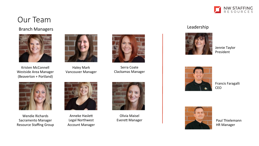

### Our Team

#### Branch Managers **Leadership**



Kristen McConnell Westside Area Manager (Beaverton + Portland)



Haley Mark Vancouver Manager 



Serra Coate Clackamas Manager 



Wendie Richards Sacramento Manager Resource Staffing Group



Anneke Haslett Legal Northwest **Account Manager** 



Olivia Maisel **Everett Manager** 



Jennie Taylor President 



Francis Faragalli CEO 



Paul Thielemann **HR Manager**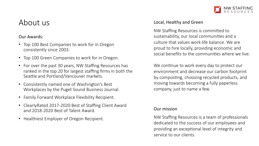

#### About us

#### Our Awards:

- Top 100 Best Companies to work for in Oregon consistently since 2003.
- Top 100 Green Companies to work for in Oregon.
- For over the past 30 years, NW Staffing Resources has ranked in the top 20 for largest staffing firms in both the Seattle and Portland/Vancouver markets.
- Consistently named one of Washington's Best Workplaces by the Puget Sound Business Journal.
- Family Forward Workplace Flexibility Recipient.
- ClearlyRated 2017-2020 Best of Staffing Client Award and 2018-2020 Best of Talent Award.
- Healthiest Employer of Oregon Recipient.

#### Local, Healthy and Green

NW Staffing Resources is committed to sustainability, our local communities and a culture that values work-life balance. We are proud to hire locally, providing economic and social benefits to the communities where we live.

We continue to work every day to protect our environment and decrease our carbon footprint by composting, choosing recycled products, and moving towards becoming a fully paperless company, just to name a few.

#### Our mission

NW Staffing Resources is a team of professionals dedicated to the success of our employees and providing an exceptional level of integrity and service to our clients.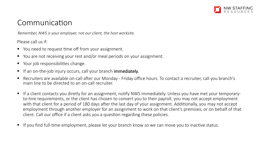

#### Communication

Remember, NWS is your employer, not our client, the host worksite.

Please call us if:

- You need to request time off from your assignment.
- You are not receiving your rest and/or meal periods on your assignment.
- Your job responsibilities change.
- If an on-the-job injury occurs, call your branch immediately.
- Recruiters are available on-call after our Monday Friday office hours. To contact a recruiter, call you branch's main line to be directed to an on-call recruiter.
- If a client contacts you diretly for an assignment, notify NWS immediately. Unless you have met your temporaryto-hire requirements, or the client has chosen to convert you to their payroll, you may not accept employment with that client for a period of 180 days after the last day of your assignment. Additionally, you may not accept employment through another employer for an assignment to work on that client's premises, or on behalf of that client. Call our office if a client asks you a question regarding these policies.
- If you find full-time employment, please let your branch know so we can move you to inactive status.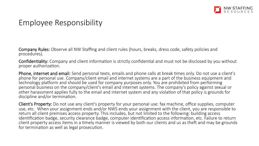

### Employee Responsibility

Company Rules: Observe all NW Staffing and client rules (hours, breaks, dress code, safety policies and procedures).

Confidentiality: Company and client information is strictly confidential and must not be disclosed by you without proper authorization.

Phone, internet and email: Send personal texts, emails and phone calls at break times only. Do not use a client's phone for personal use. Company/client email and internet systems are a part of the business equipment and technology platform and should be used for company purposes only. You are prohibited from performing personal business on the company/client's email and internet systems. The company's policy against sexual or other harassment applies fully to the email and internet system and any violation of that policy is grounds for discipline and/or termination.

Client's Property: Do not use any client's property for your personal use: fax machine, office supplies, computer use, etc. When your assignment ends and/or NWS ends your assignment with the client, you are responsible to return all client premises access property. This includes, but not limited to the following: building access identification badge, security clearance badge, computer identification access information, etc. Failure to return client property access items in a timely manner is viewed by both our clients and us as theft and may be grounds for termination as well as legal prosecution.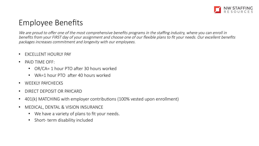

## Employee Benefits

We are proud to offer one of the most comprehensive benefits programs in the staffing industry, where you can enroll in benefits from your FIRST day of your assignment and choose one of our flexible plans to fit your needs. Our excellent benefits packages increases commitment and longevity with our employees.

- EXCELLENT HOURLY PAY
- PAID TIME OFF:
	- OR/CA= 1 hour PTO after 30 hours worked
	- WA=1 hour PTO after 40 hours worked
- WEEKLY PAYCHECKS
- DIRECT DEPOSIT OR PAYCARD
- 401(k) MATCHING with employer contributions (100% vested upon enrollment)
- MEDICAL, DENTAL & VISION INSURANCE
	- We have a variety of plans to fit your needs.
	- Short- term disability included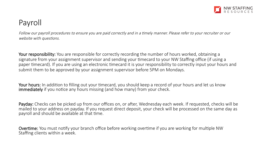

## Payroll

Follow our payroll procedures to ensure you are paid correctly and in a timely manner. Please refer to your recruiter or our website with questions.

Your responsibility: You are responsible for correctly recording the number of hours worked, obtaining a signature from your assignment supervisor and sending your timecard to your NW Staffing office (if using a paper timecard). If you are using an electronic timecard it is your responsibility to correctly input your hours and submit them to be approved by your assignment supervisor before 5PM on Mondays.

Your hours: In addition to filling out your timecard, you should keep a record of your hours and let us know immediately if you notice any hours missing (and how many) from your check.

Payday: Checks can be picked up from our offices on, or after, Wednesday each week. If requested, checks will be mailed to your address on payday. If you request direct deposit, your check will be processed on the same day as payroll and should be available at that time.

**Overtime:** You must notify your branch office before working overtime if you are working for multiple NW Staffing clients within a week.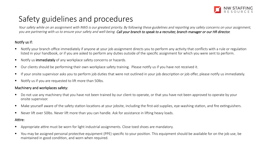

# Safety guidelines and procedures

Your safety while on an assignment with NWS is our greatest priority. By following these guidelines and reporting any safety concerns on your assignment, you are partnering with us to ensure your safety and well-being. Call your branch to speak to a recruiter, branch manager or our HR director.

#### Notify us if:

- $\blacksquare$  Notify your branch office immediately if anyone at your job assignment directs you to perform any activity that conflicts with a rule or regulation listed in your handbook, or if you are asked to perform any duties outside of the specific assignment for which you were sent to perform.
- Notify us immediately of any workplace safety concerns or hazards.
- Our clients should be performing their own workplace safety training. Please notify us if you have not received it.
- If your onsite supervisor asks you to perform job duties that were not outlined in your job description or job offer, please notify us immediately.
- Notify us if you are requested to lift more than 50lbs.

#### Machinery and workplaces safety:

- Do not use any machinery that you have not been trained by our client to operate, or that you have not been approved to operate by your onsite supervisor.
- Make yourself aware of the safety station locations at your jobsite, including the first-aid supplies, eye-washing station, and fire extinguishers.
- Never lift over 50lbs. Never lift more than you can handle. Ask for assistance in lifting heavy loads.

#### Attire:

- Appropriate attire must be worn for light industrial assignments. Close toed shoes are mandatory.
- You may be assigned personal protective equipment (PPE) specific to your position. This equipment should be available for on the job use, be maintained in good condition, and worn when required.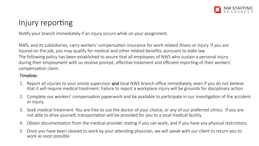

# Injury reporting

Notify your branch immediately if an injury occurs while on your assignment.

NWS, and its subsidiaries, carry workers' compensation insurance for work related illness or injury. If you are injured on the job, you may qualify for medical and other related benefits, pursuant to state law. The following policy has been established to assure that all employees of NWS who sustain a personal injury during their employment with us receive prompt, effective treatment and efficient reporting of their workers' compensation claim.

#### Timeline:

- 1. Report all injuries to your onsite supervisor and local NWS branch office immediately, even if you do not believe that it will require medical treatment. Failure to report a workplace injury will be grounds for disciplinary action.
- 2. Complete our workers' compensation paperwork and be available to participate in our investigation of the accident or injury.
- 3. Seek medical treatment. You are free to use the doctor of your choice, or any of our preferred clinics. If you are not able to drive yourself, transportation will be provided for you to a local medical facility.
- 4. Obtain documentation from the medical provider stating if you can work, and if you have any physical restrictions.
- 5. Once you have been cleared to work by your attending physician, we will speak with our client to return you to work as soon possible.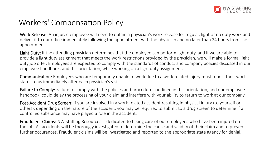

### Workers' Compensation Policy

Work Release: An injured employee will need to obtain a physician's work release for regular, light or no duty work and deliver it to our office immediately following the appointment with the physician and no later than 24 hours from the appointment.

Light Duty: If the attending physician determines that the employee can perform light duty, and if we are able to provide a light duty assignment that meets the work restrictions provided by the physician, we will make a formal light duty job offer. Employees are expected to comply with the standards of conduct and company policies discussed in our employee handbook, and this orientation, while working on a light duty assignment.

Communication: Employees who are temporarily unable to work due to a work-related injury must report their work status to us immediately after each physician's visit.

Failure to Comply: Failure to comply with the policies and procedures outlined in this orientation, and our employee handbook, could delay the processing of your claim and interfere with your ability to return to work at our company.

Post-Accident Drug Screen: If you are involved in a work-related accident resulting in physical injury (to yourself or others), depending on the nature of the accident, you may be required to submit to a drug screen to determine if a controlled substance may have played a role in the accident.

Fraudulent Claims: NW Staffing Resources is dedicated to taking care of our employees who have been injured on the job. All accidents will be thorougly investigated to determine the cause and validity of their claim and to prevent further occurances. Fraudulent claims will be investigated and reported to the appropriate state agency for denial.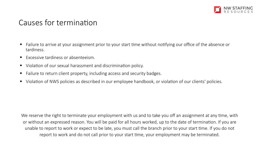

#### Causes for termination

- Failure to arrive at your assignment prior to your start time without notifying our office of the absence or tardiness.
- Excessive tardiness or absenteeism.
- Violation of our sexual harassment and discrimination policy.
- Failure to return client property, including access and security badges.
- Violation of NWS policies as described in our employee handbook, or violation of our clients' policies.

We reserve the right to terminate your employment with us and to take you off an assignment at any time, with or without an expressed reason. You will be paid for all hours worked, up to the date of termination. If you are unable to report to work or expect to be late, you must call the branch prior to your start 1me. If you do not report to work and do not call prior to your start time, your employment may be terminated.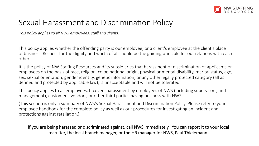

### Sexual Harassment and Discrimination Policy

This policy applies to all NWS employees, staff and clients.

This policy applies whether the offending party is our employee, or a client's employee at the client's place of business. Respect for the dignity and worth of all should be the guiding principle for our relations with each other.

It is the policy of NW Staffing Resources and its subsidiaries that harassment or discrimination of applicants or employees on the basis of race, religion, color, national origin, physical or mental disability, marital status, age, sex, sexual orientation, gender identity, genetic information, or any other legally protected category (all as defined and protected by applicable law), is unacceptable and will not be tolerated.

This policy applies to all employees. It covers harassment by employees of NWS (including supervisors, and management), customers, vendors, or other third parties having business with NWS.

(This section is only a summary of NWS's Sexual Harassment and Discrimination Policy. Please refer to your employee handbook for the complete policy as well as our procedures for investigating an incident and protections against retaliation.)

If you are being harassed or discriminated against, call NWS immediately. You can report it to your local recruiter, the local branch manager, or the HR manager for NWS, Paul Thielemann.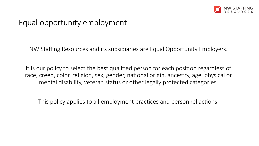

### Equal opportunity employment

NW Staffing Resources and its subsidiaries are Equal Opportunity Employers.

It is our policy to select the best qualified person for each position regardless of race, creed, color, religion, sex, gender, national origin, ancestry, age, physical or mental disability, veteran status or other legally protected categories.

This policy applies to all employment practices and personnel actions.